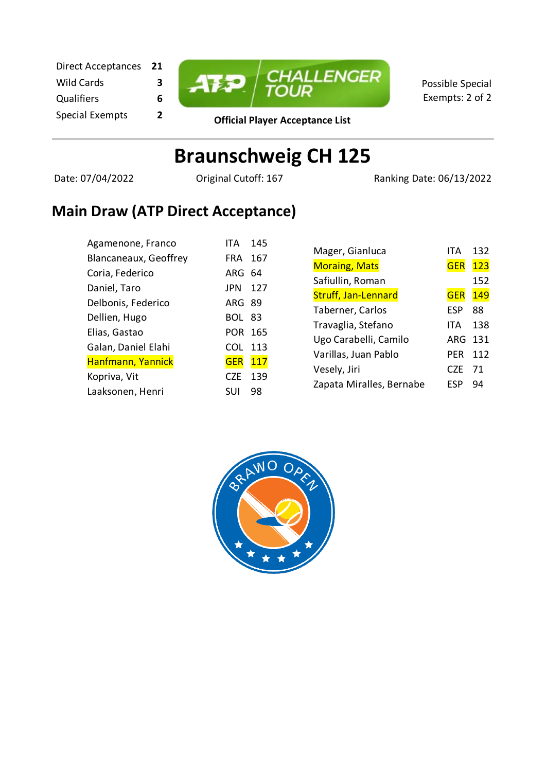Direct Acceptances **21** Wild Cards **3** Qualifiers **6**



Possible Special Exempts: 2 of 2

Special Exempts **<sup>2</sup> Official Player Acceptance List**

# **Braunschweig CH 125**

Date: 07/04/2022 Original Cutoff: 167 Ranking Date: 06/13/2022

### **Main Draw (ATP Direct Acceptance)**

| Agamenone, Franco     | ITA.          | 145            |                          |                |            |
|-----------------------|---------------|----------------|--------------------------|----------------|------------|
| Blancaneaux, Geoffrey |               | FRA 167        | Mager, Gianluca          | ITA            | 132        |
| Coria, Federico       | ARG 64        |                | <b>Moraing, Mats</b>     | <b>GER</b>     | 123<br>152 |
| Daniel, Taro          |               | JPN 127        | Safiullin, Roman         |                |            |
| Delbonis, Federico    | <b>ARG 89</b> |                | Struff, Jan-Lennard      | <b>GER</b>     | <b>149</b> |
|                       |               |                | Taberner, Carlos         | <b>ESP</b>     | 88         |
| Dellien, Hugo         | <b>BOL 83</b> |                | Travaglia, Stefano       | ITA.           | 138        |
| Elias, Gastao         |               | <b>POR 165</b> | Ugo Carabelli, Camilo    | ARG 131        |            |
| Galan, Daniel Elahi   | COL.          | 113            |                          |                |            |
| Hanfmann, Yannick     | <b>GER</b>    | <b>117</b>     | Varillas, Juan Pablo     | <b>PER 112</b> |            |
| Kopriva, Vit          | <b>CZE</b>    | 139            | Vesely, Jiri             | <b>CZE</b>     | - 71       |
|                       |               |                | Zapata Miralles, Bernabe | <b>ESP</b>     | -94        |
| Laaksonen, Henri      | <b>SUI</b>    | 98             |                          |                |            |

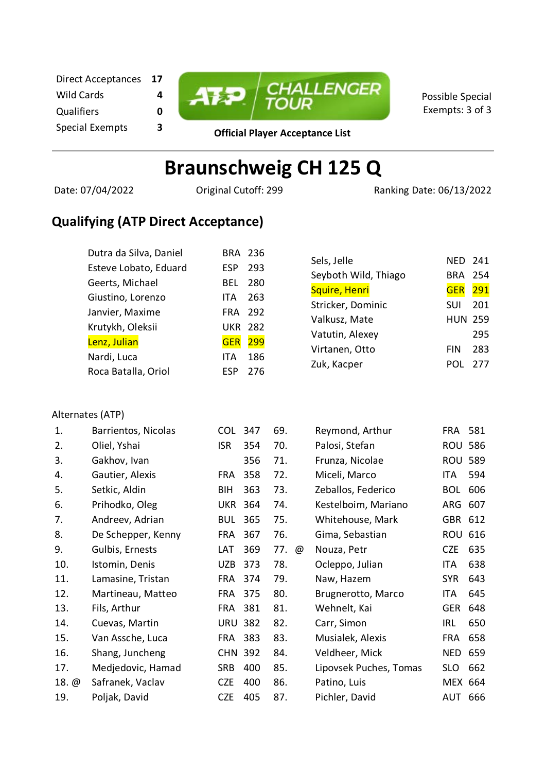| Direct Acceptances |   |  |  |
|--------------------|---|--|--|
| Wild Cards         | 4 |  |  |
| <b>Qualifiers</b>  | 0 |  |  |
| Snacial Evamnts    | 2 |  |  |



Possible Special Exempts: 3 of 3

Special Exempts **<sup>3</sup> Official Player Acceptance List**

## **Braunschweig CH 125 Q**

Date: 07/04/2022 Original Cutoff: 299 Ranking Date: 06/13/2022

#### **Qualifying (ATP Direct Acceptance)**

| Dutra da Silva, Daniel | <b>BRA 236</b> |     |                      |                |     |
|------------------------|----------------|-----|----------------------|----------------|-----|
| Esteve Lobato, Eduard  | ESP            | 293 | Sels, Jelle          | NED 241        |     |
| Geerts, Michael        | BEL            | 280 | Seyboth Wild, Thiago | <b>BRA 254</b> |     |
| Giustino, Lorenzo      | ITA            | 263 | Squire, Henri        | <b>GER</b>     | 291 |
|                        |                |     | Stricker, Dominic    | <b>SUI</b>     | 201 |
| Janvier, Maxime        | FRA 292        |     | Valkusz, Mate        | <b>HUN 259</b> |     |
| Krutykh, Oleksii       | <b>UKR 282</b> |     | Vatutin, Alexey      |                | 295 |
| Lenz, Julian           | <b>GER</b>     | 299 |                      |                |     |
| Nardi, Luca            | ITA            | 186 | Virtanen, Otto       | <b>FIN</b>     | 283 |
| Roca Batalla, Oriol    | ESP            | 276 | Zuk, Kacper          | <b>POL</b>     | 277 |
|                        |                |     |                      |                |     |

#### Alternates (ATP)

| 1.    | Barrientos, Nicolas | COL            | 347 | 69. |   | Reymond, Arthur        | <b>FRA</b>     | 581 |
|-------|---------------------|----------------|-----|-----|---|------------------------|----------------|-----|
| 2.    | Oliel, Yshai        | <b>ISR</b>     | 354 | 70. |   | Palosi, Stefan         | <b>ROU</b>     | 586 |
| 3.    | Gakhov, Ivan        |                | 356 | 71. |   | Frunza, Nicolae        | <b>ROU</b>     | 589 |
| 4.    | Gautier, Alexis     | FRA            | 358 | 72. |   | Miceli, Marco          | ITA            | 594 |
| 5.    | Setkic, Aldin       | BIH            | 363 | 73. |   | Zeballos, Federico     | <b>BOL</b>     | 606 |
| 6.    | Prihodko, Oleg      | <b>UKR 364</b> |     | 74. |   | Kestelboim, Mariano    | ARG            | 607 |
| 7.    | Andreev, Adrian     | <b>BUL</b>     | 365 | 75. |   | Whitehouse, Mark       | GBR            | 612 |
| 8.    | De Schepper, Kenny  | FRA            | 367 | 76. |   | Gima, Sebastian        | ROU            | 616 |
| 9.    | Gulbis, Ernests     | LAT            | 369 | 77. | @ | Nouza, Petr            | <b>CZE</b>     | 635 |
| 10.   | Istomin, Denis      | UZB            | 373 | 78. |   | Ocleppo, Julian        | ITA            | 638 |
| 11.   | Lamasine, Tristan   | FRA            | 374 | 79. |   | Naw, Hazem             | <b>SYR</b>     | 643 |
| 12.   | Martineau, Matteo   | FRA            | 375 | 80. |   | Brugnerotto, Marco     | ITA            | 645 |
| 13.   | Fils, Arthur        | FRA            | 381 | 81. |   | Wehnelt, Kai           | <b>GER</b>     | 648 |
| 14.   | Cuevas, Martin      | URU            | 382 | 82. |   | Carr, Simon            | IRL            | 650 |
| 15.   | Van Assche, Luca    | FRA 383        |     | 83. |   | Musialek, Alexis       | <b>FRA</b>     | 658 |
| 16.   | Shang, Juncheng     | <b>CHN</b>     | 392 | 84. |   | Veldheer, Mick         | <b>NED</b>     | 659 |
| 17.   | Medjedovic, Hamad   | <b>SRB</b>     | 400 | 85. |   | Lipovsek Puches, Tomas | <b>SLO</b>     | 662 |
| 18. @ | Safranek, Vaclav    | <b>CZE</b>     | 400 | 86. |   | Patino, Luis           | MEX 664        |     |
| 19.   | Poljak, David       | <b>CZE</b>     | 405 | 87. |   | Pichler, David         | <b>AUT 666</b> |     |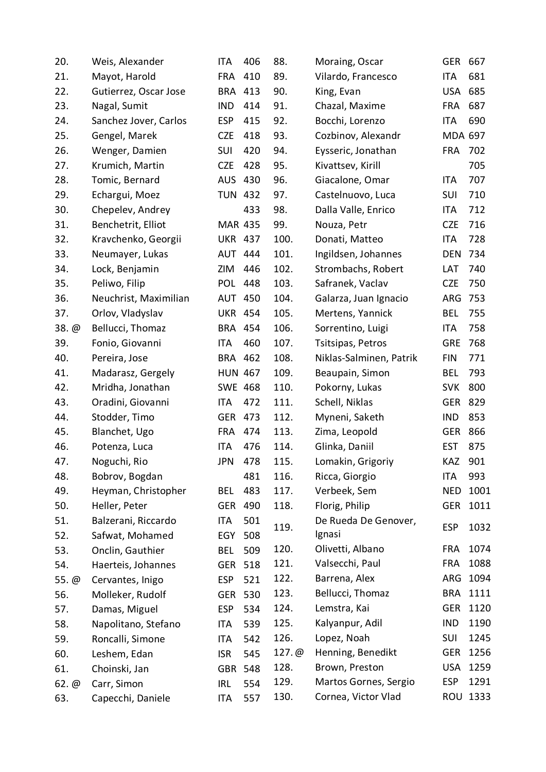| 20.     | Weis, Alexander       | ITA            | 406 | 88.    | Moraing, Oscar          | <b>GER</b>     | 667      |
|---------|-----------------------|----------------|-----|--------|-------------------------|----------------|----------|
| 21.     | Mayot, Harold         | <b>FRA</b>     | 410 | 89.    | Vilardo, Francesco      | ITA            | 681      |
| 22.     | Gutierrez, Oscar Jose | BRA            | 413 | 90.    | King, Evan              | <b>USA</b>     | 685      |
| 23.     | Nagal, Sumit          | <b>IND</b>     | 414 | 91.    | Chazal, Maxime          | <b>FRA</b>     | 687      |
| 24.     | Sanchez Jover, Carlos | <b>ESP</b>     | 415 | 92.    | Bocchi, Lorenzo         | <b>ITA</b>     | 690      |
| 25.     | Gengel, Marek         | <b>CZE</b>     | 418 | 93.    | Cozbinov, Alexandr      | <b>MDA 697</b> |          |
| 26.     | Wenger, Damien        | <b>SUI</b>     | 420 | 94.    | Eysseric, Jonathan      | <b>FRA</b>     | 702      |
| 27.     | Krumich, Martin       | <b>CZE</b>     | 428 | 95.    | Kivattsev, Kirill       |                | 705      |
| 28.     | Tomic, Bernard        | <b>AUS</b>     | 430 | 96.    | Giacalone, Omar         | <b>ITA</b>     | 707      |
| 29.     | Echargui, Moez        | <b>TUN 432</b> |     | 97.    | Castelnuovo, Luca       | SUI            | 710      |
| 30.     | Chepelev, Andrey      |                | 433 | 98.    | Dalla Valle, Enrico     | ITA            | 712      |
| 31.     | Benchetrit, Elliot    | <b>MAR 435</b> |     | 99.    | Nouza, Petr             | <b>CZE</b>     | 716      |
| 32.     | Kravchenko, Georgii   | <b>UKR 437</b> |     | 100.   | Donati, Matteo          | ITA            | 728      |
| 33.     | Neumayer, Lukas       | <b>AUT 444</b> |     | 101.   | Ingildsen, Johannes     | <b>DEN</b>     | 734      |
| 34.     | Lock, Benjamin        | ZIM            | 446 | 102.   | Strombachs, Robert      | LAT            | 740      |
| 35.     | Peliwo, Filip         | POL 448        |     | 103.   | Safranek, Vaclav        | <b>CZE</b>     | 750      |
| 36.     | Neuchrist, Maximilian | <b>AUT 450</b> |     | 104.   | Galarza, Juan Ignacio   | ARG            | 753      |
| 37.     | Orlov, Vladyslav      | <b>UKR 454</b> |     | 105.   | Mertens, Yannick        | <b>BEL</b>     | 755      |
| 38.@    | Bellucci, Thomaz      | BRA 454        |     | 106.   | Sorrentino, Luigi       | ITA            | 758      |
| 39.     | Fonio, Giovanni       | ITA            | 460 | 107.   | Tsitsipas, Petros       | GRE            | 768      |
| 40.     | Pereira, Jose         | BRA 462        |     | 108.   | Niklas-Salminen, Patrik | <b>FIN</b>     | 771      |
| 41.     | Madarasz, Gergely     | <b>HUN 467</b> |     | 109.   | Beaupain, Simon         | <b>BEL</b>     | 793      |
| 42.     | Mridha, Jonathan      | <b>SWE 468</b> |     | 110.   | Pokorny, Lukas          | <b>SVK</b>     | 800      |
| 43.     | Oradini, Giovanni     | ITA            | 472 | 111.   | Schell, Niklas          | <b>GER</b>     | 829      |
| 44.     | Stodder, Timo         | <b>GER</b>     | 473 | 112.   | Myneni, Saketh          | <b>IND</b>     | 853      |
| 45.     | Blanchet, Ugo         | <b>FRA</b>     | 474 | 113.   | Zima, Leopold           | <b>GER</b>     | 866      |
| 46.     | Potenza, Luca         | <b>ITA</b>     | 476 | 114.   | Glinka, Daniil          | <b>EST</b>     | 875      |
| 47.     | Noguchi, Rio          | <b>JPN</b>     | 478 | 115.   | Lomakin, Grigoriy       | <b>KAZ</b>     | 901      |
| 48.     | Bobrov, Bogdan        |                | 481 | 116.   | Ricca, Giorgio          | ITA            | 993      |
| 49.     | Heyman, Christopher   | <b>BEL</b>     | 483 | 117.   | Verbeek, Sem            | <b>NED</b>     | 1001     |
| 50.     | Heller, Peter         | <b>GER</b>     | 490 | 118.   | Florig, Philip          | <b>GER</b>     | 1011     |
| 51.     | Balzerani, Riccardo   | ITA            | 501 | 119.   | De Rueda De Genover,    | <b>ESP</b>     | 1032     |
| 52.     | Safwat, Mohamed       | EGY            | 508 |        | Ignasi                  |                |          |
| 53.     | Onclin, Gauthier      | <b>BEL</b>     | 509 | 120.   | Olivetti, Albano        | <b>FRA</b>     | 1074     |
| 54.     | Haerteis, Johannes    | <b>GER</b>     | 518 | 121.   | Valsecchi, Paul         | <b>FRA</b>     | 1088     |
| 55. $@$ | Cervantes, Inigo      | <b>ESP</b>     | 521 | 122.   | Barrena, Alex           | ARG            | 1094     |
| 56.     | Molleker, Rudolf      | <b>GER</b>     | 530 | 123.   | Bellucci, Thomaz        | <b>BRA</b>     | 1111     |
| 57.     | Damas, Miguel         | <b>ESP</b>     | 534 | 124.   | Lemstra, Kai            | <b>GER</b>     | 1120     |
| 58.     | Napolitano, Stefano   | ITA            | 539 | 125.   | Kalyanpur, Adil         | <b>IND</b>     | 1190     |
| 59.     | Roncalli, Simone      | ITA            | 542 | 126.   | Lopez, Noah             | SUI            | 1245     |
| 60.     | Leshem, Edan          | <b>ISR</b>     | 545 | 127. @ | Henning, Benedikt       | <b>GER</b>     | 1256     |
| 61.     | Choinski, Jan         | GBR            | 548 | 128.   | Brown, Preston          | <b>USA</b>     | 1259     |
| 62. @   | Carr, Simon           | <b>IRL</b>     | 554 | 129.   | Martos Gornes, Sergio   | <b>ESP</b>     | 1291     |
| 63.     | Capecchi, Daniele     | ITA            | 557 | 130.   | Cornea, Victor Vlad     |                | ROU 1333 |